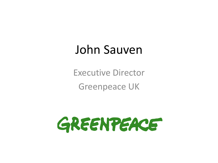## John Sauven

Executive Director Greenpeace UK

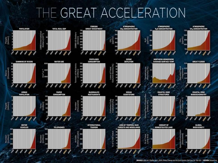## THE GREAT ACCELERATION

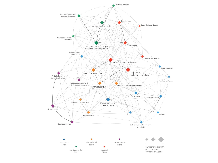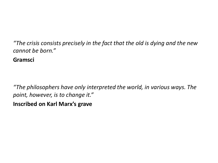*"The crisis consists precisely in the fact that the old is dying and the new cannot be born."* 

**Gramsci**

*"The philosophers have only interpreted the world, in various ways. The point, however, is to change it."*

**Inscribed on Karl Marx's grave**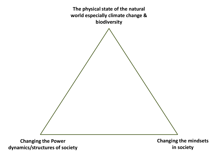**The physical state of the natural world especially climate change & biodiversity**

**Changing the Power dynamics/structures of society** **Changing the mindsets in society**